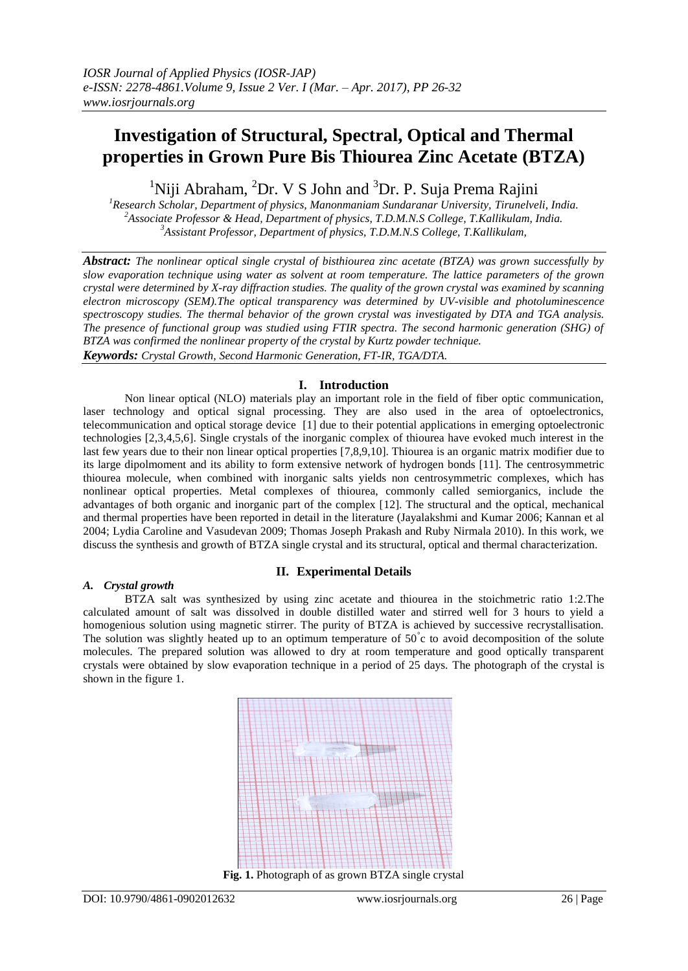# **Investigation of Structural, Spectral, Optical and Thermal properties in Grown Pure Bis Thiourea Zinc Acetate (BTZA)**

<sup>1</sup>Niji Abraham, <sup>2</sup>Dr. V S John and <sup>3</sup>Dr. P. Suja Prema Rajini

*<sup>1</sup>Research Scholar, Department of physics, Manonmaniam Sundaranar University, Tirunelveli, India. <sup>2</sup>Associate Professor & Head, Department of physics, T.D.M.N.S College, T.Kallikulam, India. <sup>3</sup>Assistant Professor, Department of physics, T.D.M.N.S College, T.Kallikulam,*

*Abstract: The nonlinear optical single crystal of bisthiourea zinc acetate (BTZA) was grown successfully by slow evaporation technique using water as solvent at room temperature. The lattice parameters of the grown crystal were determined by X-ray diffraction studies. The quality of the grown crystal was examined by scanning electron microscopy (SEM).The optical transparency was determined by UV-visible and photoluminescence spectroscopy studies. The thermal behavior of the grown crystal was investigated by DTA and TGA analysis. The presence of functional group was studied using FTIR spectra. The second harmonic generation (SHG) of BTZA was confirmed the nonlinear property of the crystal by Kurtz powder technique. Keywords: Crystal Growth, Second Harmonic Generation, FT-IR, TGA/DTA.*

# **I. Introduction**

Non linear optical (NLO) materials play an important role in the field of fiber optic communication, laser technology and optical signal processing. They are also used in the area of optoelectronics, telecommunication and optical storage device [1] due to their potential applications in emerging optoelectronic technologies [2,3,4,5,6]. Single crystals of the inorganic complex of thiourea have evoked much interest in the last few years due to their non linear optical properties [7,8,9,10]. Thiourea is an organic matrix modifier due to its large dipolmoment and its ability to form extensive network of hydrogen bonds [11]. The centrosymmetric thiourea molecule, when combined with inorganic salts yields non centrosymmetric complexes, which has nonlinear optical properties. Metal complexes of thiourea, commonly called semiorganics, include the advantages of both organic and inorganic part of the complex [12]. The structural and the optical, mechanical and thermal properties have been reported in detail in the literature (Jayalakshmi and Kumar 2006; Kannan et al 2004; Lydia Caroline and Vasudevan 2009; Thomas Joseph Prakash and Ruby Nirmala 2010). In this work, we discuss the synthesis and growth of BTZA single crystal and its structural, optical and thermal characterization.

# *A. Crystal growth*

# **II. Experimental Details**

BTZA salt was synthesized by using zinc acetate and thiourea in the stoichmetric ratio 1:2.The calculated amount of salt was dissolved in double distilled water and stirred well for 3 hours to yield a homogenious solution using magnetic stirrer. The purity of BTZA is achieved by successive recrystallisation. The solution was slightly heated up to an optimum temperature of  $50^{\circ}$ c to avoid decomposition of the solute molecules. The prepared solution was allowed to dry at room temperature and good optically transparent crystals were obtained by slow evaporation technique in a period of 25 days. The photograph of the crystal is shown in the figure 1.

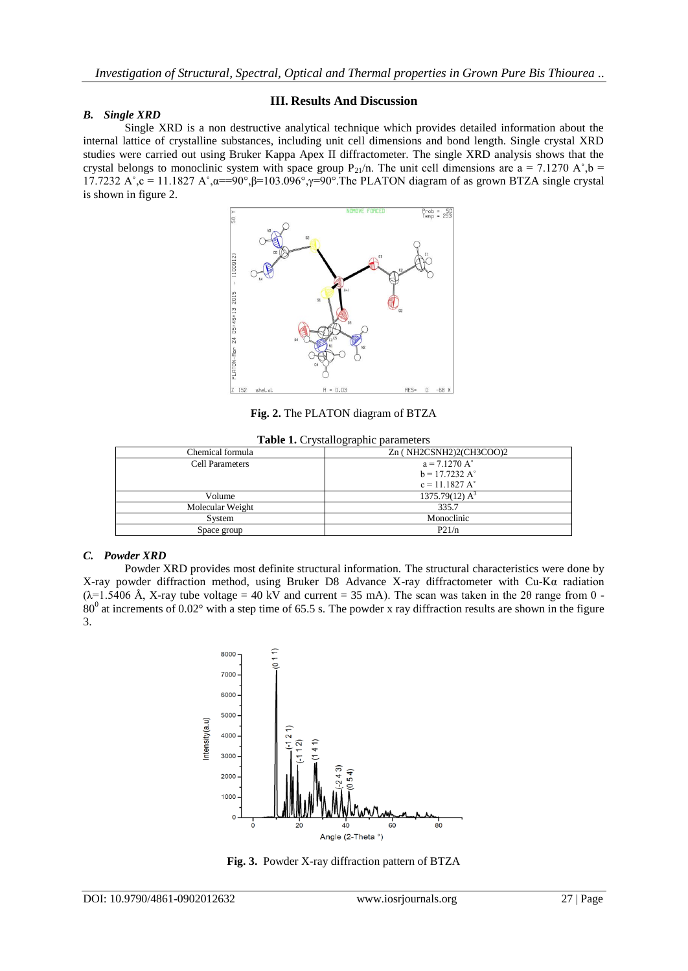#### *B. Single XRD*

#### **III. Results And Discussion**

Single XRD is a non destructive analytical technique which provides detailed information about the internal lattice of crystalline substances, including unit cell dimensions and bond length. Single crystal XRD studies were carried out using Bruker Kappa Apex II diffractometer. The single XRD analysis shows that the crystal belongs to monoclinic system with space group P<sub>21</sub>/n. The unit cell dimensions are a = 7.1270 A $\degree$ , b = 17.7232 A°,c = 11.1827 A°,α==90°,β=103.096°,γ=90°.The PLATON diagram of as grown BTZA single crystal is shown in figure 2.



**Fig. 2.** The PLATON diagram of BTZA

| rasic 1. Crystanographic parameters |                               |  |  |
|-------------------------------------|-------------------------------|--|--|
| Chemical formula                    | Zn (NH2CSNH2)2(CH3COO)2       |  |  |
| <b>Cell Parameters</b>              | $a = 7.1270 A^{\circ}$        |  |  |
|                                     | $b = 17.7232 A^{\circ}$       |  |  |
|                                     | $c = 11.1827 A^{\circ}$       |  |  |
| Volume                              | 1375.79 $(12)$ A <sup>3</sup> |  |  |
| Molecular Weight                    | 335.7                         |  |  |
| System                              | Monoclinic                    |  |  |
| Space group                         | P21/n                         |  |  |
|                                     |                               |  |  |

# **Table 1.** Crystallographic parameters

#### *C. Powder XRD*

Powder XRD provides most definite structural information. The structural characteristics were done by X-ray powder diffraction method, using Bruker D8 Advance X-ray diffractometer with Cu-Kα radiation ( $\lambda$ =1.5406 Å, X-ray tube voltage = 40 kV and current = 35 mA). The scan was taken in the 20 range from 0 - $80^0$  at increments of  $0.02^\circ$  with a step time of 65.5 s. The powder x ray diffraction results are shown in the figure 3.



**Fig. 3.** Powder X-ray diffraction pattern of BTZA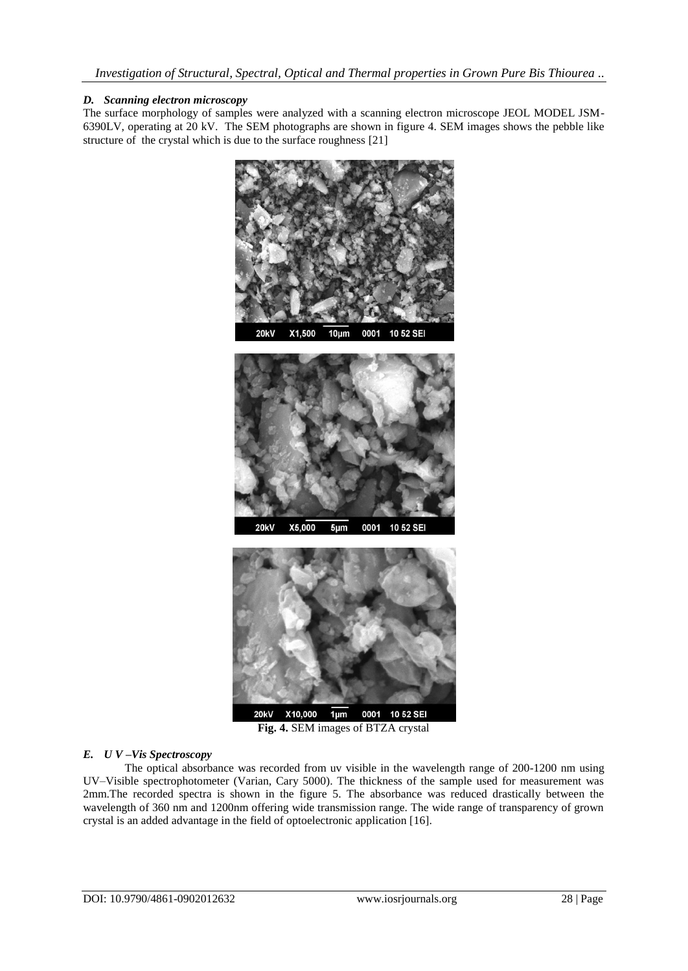# *D. Scanning electron microscopy*

The surface morphology of samples were analyzed with a scanning electron microscope JEOL MODEL JSM-6390LV, operating at 20 kV. The SEM photographs are shown in figure 4. SEM images shows the pebble like structure of the crystal which is due to the surface roughness [21]



**Fig. 4.** SEM images of BTZA crystal

# *E. U V –Vis Spectroscopy*

The optical absorbance was recorded from uv visible in the wavelength range of 200-1200 nm using UV–Visible spectrophotometer (Varian, Cary 5000). The thickness of the sample used for measurement was 2mm.The recorded spectra is shown in the figure 5. The absorbance was reduced drastically between the wavelength of 360 nm and 1200nm offering wide transmission range. The wide range of transparency of grown crystal is an added advantage in the field of optoelectronic application [16].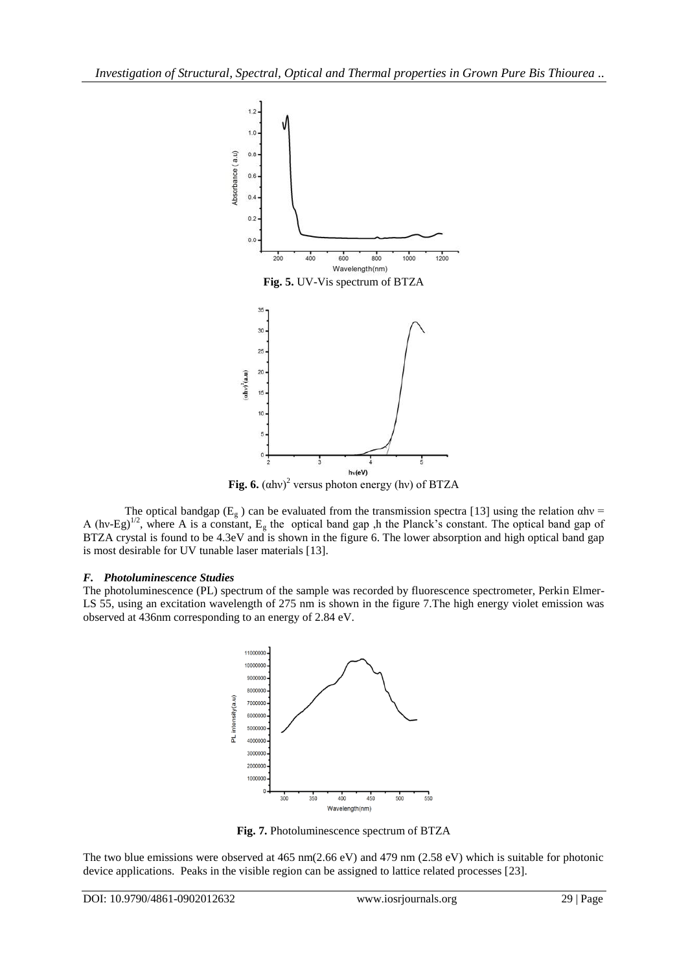

**Fig. 6.**  $(ahv)^2$  versus photon energy (hv) of BTZA

The optical bandgap ( $E_g$ ) can be evaluated from the transmission spectra [13] using the relation  $\alpha$ hv = A (hv-Eg)<sup>1/2</sup>, where A is a constant,  $E_g$  the optical band gap ,h the Planck's constant. The optical band gap of BTZA crystal is found to be 4.3eV and is shown in the figure 6. The lower absorption and high optical band gap is most desirable for UV tunable laser materials [13].

#### *F. Photoluminescence Studies*

The photoluminescence (PL) spectrum of the sample was recorded by fluorescence spectrometer, Perkin Elmer-LS 55, using an excitation wavelength of 275 nm is shown in the figure 7. The high energy violet emission was observed at 436nm corresponding to an energy of 2.84 eV.



**Fig. 7.** Photoluminescence spectrum of BTZA

The two blue emissions were observed at 465 nm(2.66 eV) and 479 nm (2.58 eV) which is suitable for photonic device applications. Peaks in the visible region can be assigned to lattice related processes [23].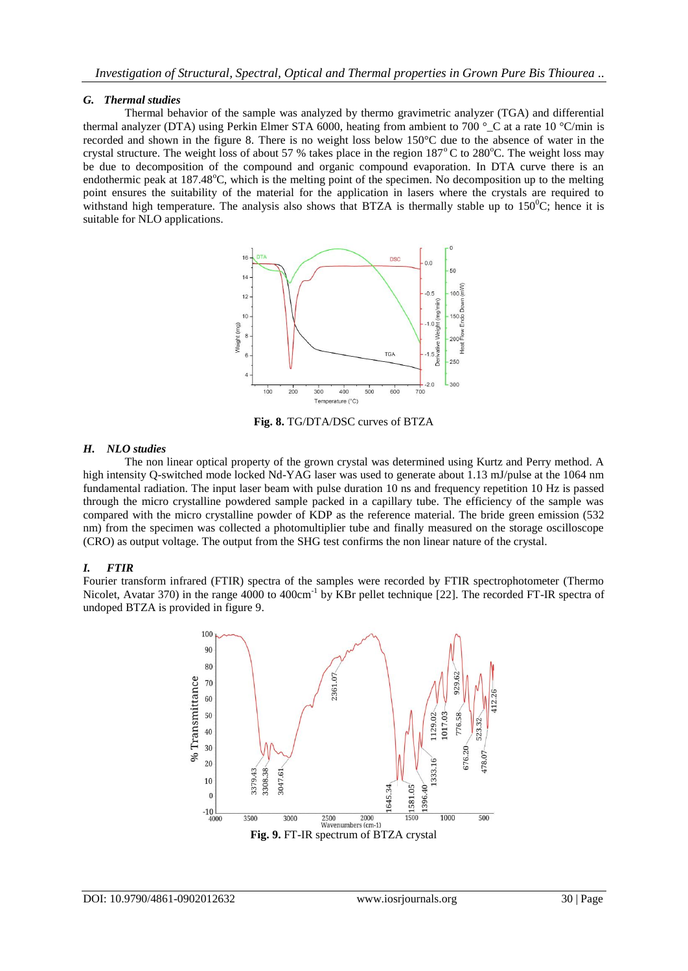### *G. Thermal studies*

Thermal behavior of the sample was analyzed by thermo gravimetric analyzer (TGA) and differential thermal analyzer (DTA) using Perkin Elmer STA 6000, heating from ambient to 700 ° C at a rate 10 °C/min is recorded and shown in the figure 8. There is no weight loss below 150°C due to the absence of water in the crystal structure. The weight loss of about 57 % takes place in the region  $187^{\circ}$ C to  $280^{\circ}$ C. The weight loss may be due to decomposition of the compound and organic compound evaporation. In DTA curve there is an endothermic peak at 187.48<sup>o</sup>C, which is the melting point of the specimen. No decomposition up to the melting point ensures the suitability of the material for the application in lasers where the crystals are required to withstand high temperature. The analysis also shows that BTZA is thermally stable up to  $150^{\circ}$ C; hence it is suitable for NLO applications.



**Fig. 8.** TG/DTA/DSC curves of BTZA

# *H. NLO studies*

The non linear optical property of the grown crystal was determined using Kurtz and Perry method. A high intensity Q-switched mode locked Nd-YAG laser was used to generate about 1.13 mJ/pulse at the 1064 nm fundamental radiation. The input laser beam with pulse duration 10 ns and frequency repetition 10 Hz is passed through the micro crystalline powdered sample packed in a capillary tube. The efficiency of the sample was compared with the micro crystalline powder of KDP as the reference material. The bride green emission (532 nm) from the specimen was collected a photomultiplier tube and finally measured on the storage oscilloscope (CRO) as output voltage. The output from the SHG test confirms the non linear nature of the crystal.

# *I. FTIR*

Fourier transform infrared (FTIR) spectra of the samples were recorded by FTIR spectrophotometer (Thermo Nicolet, Avatar 370) in the range 4000 to 400cm<sup>-1</sup> by KBr pellet technique [22]. The recorded FT-IR spectra of undoped BTZA is provided in figure 9.

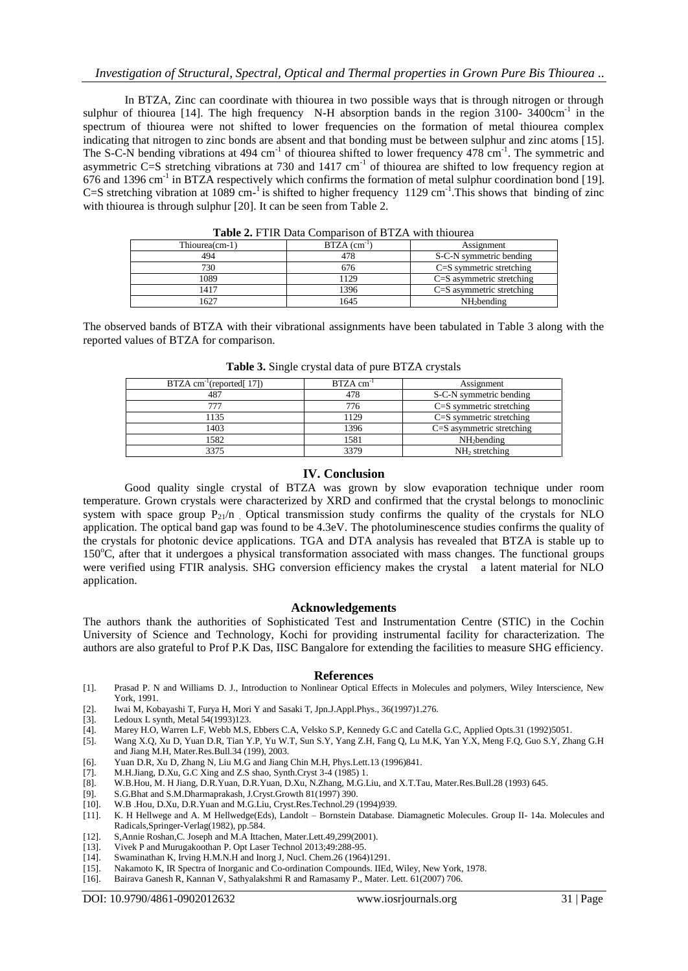### *Investigation of Structural, Spectral, Optical and Thermal properties in Grown Pure Bis Thiourea ..*

In BTZA, Zinc can coordinate with thiourea in two possible ways that is through nitrogen or through sulphur of thiourea [14]. The high frequency N-H absorption bands in the region 3100-3400cm<sup>-1</sup> in the spectrum of thiourea were not shifted to lower frequencies on the formation of metal thiourea complex indicating that nitrogen to zinc bonds are absent and that bonding must be between sulphur and zinc atoms [15]. The S-C-N bending vibrations at 494 cm<sup>-1</sup> of thiourea shifted to lower frequency 478 cm<sup>-1</sup>. The symmetric and asymmetric C=S stretching vibrations at 730 and 1417 cm<sup>-1</sup> of thiourea are shifted to low frequency region at 676 and 1396 cm<sup>-1</sup> in BTZA respectively which confirms the formation of metal sulphur coordination bond [19]. C=S stretching vibration at 1089 cm<sup>-1</sup> is shifted to higher frequency 1129 cm<sup>-1</sup>. This shows that binding of zinc with thiourea is through sulphur [20]. It can be seen from Table 2.

| <b>Table 2.</b> FIIR Data Comparison of <b>DIZA</b> with unotical |                            |                              |
|-------------------------------------------------------------------|----------------------------|------------------------------|
| Thiourea(cm-1)                                                    | $BTZA$ (cm <sup>-1</sup> ) | Assignment                   |
| 494                                                               | 478                        | S-C-N symmetric bending      |
| 730                                                               | 676                        | $C = S$ symmetric stretching |
| 1089                                                              | 1129                       | $C=S$ asymmetric stretching  |
| 1417                                                              | 1396                       | $C=S$ asymmetric stretching  |
| 1627                                                              | 1645                       | $NH2$ bending                |

**Table 2.** FTIR Data Comparison of BTZA with thiourea

The observed bands of BTZA with their vibrational assignments have been tabulated in Table 3 along with the reported values of BTZA for comparison.

| $BTZA$ cm <sup>-1</sup> (reported[17]) | $BTZA$ cm <sup>-1</sup> | Assignment                    |
|----------------------------------------|-------------------------|-------------------------------|
| 487                                    | 478                     | S-C-N symmetric bending       |
|                                        | 776                     | $C = S$ symmetric stretching  |
| 1135                                   | 1129                    | $C = S$ symmetric stretching  |
| 1403                                   | 1396                    | $C = S$ asymmetric stretching |
| 1582                                   | 1581                    | $NH2$ bending                 |
| 3375                                   | 3379                    | $NH2$ stretching              |

**Table 3.** Single crystal data of pure BTZA crystals

#### **IV. Conclusion**

Good quality single crystal of BTZA was grown by slow evaporation technique under room temperature. Grown crystals were characterized by XRD and confirmed that the crystal belongs to monoclinic system with space group  $P_{21}/n$  . Optical transmission study confirms the quality of the crystals for NLO application. The optical band gap was found to be 4.3eV. The photoluminescence studies confirms the quality of the crystals for photonic device applications. TGA and DTA analysis has revealed that BTZA is stable up to 150<sup>o</sup>C, after that it undergoes a physical transformation associated with mass changes. The functional groups were verified using FTIR analysis. SHG conversion efficiency makes the crystal a latent material for NLO application.

#### **Acknowledgements**

The authors thank the authorities of Sophisticated Test and Instrumentation Centre (STIC) in the Cochin University of Science and Technology, Kochi for providing instrumental facility for characterization. The authors are also grateful to Prof P.K Das, IISC Bangalore for extending the facilities to measure SHG efficiency.

#### **References**

- [1]. Prasad P. N and Williams D. J., Introduction to Nonlinear Optical Effects in Molecules and polymers, Wiley Interscience, New York, 1991.
- [2]. Iwai M, Kobayashi T, Furya H, Mori Y and Sasaki T, Jpn.J.Appl.Phys., 36(1997)1.276.
- [3]. Ledoux L synth, Metal 54(1993)123.
- [4]. Marey H.O, Warren L.F, Webb M.S, Ebbers C.A, Velsko S.P, Kennedy G.C and Catella G.C, Applied Opts.31 (1992)5051.
- [5]. Wang X.Q, Xu D, Yuan D.R, Tian Y.P, Yu W.T, Sun S.Y, Yang Z.H, Fang Q, Lu M.K, Yan Y.X, Meng F.Q, Guo S.Y, Zhang G.H and Jiang M.H, Mater.Res.Bull.34 (199), 2003.
- [6]. Yuan D.R, Xu D, Zhang N, Liu M.G and Jiang Chin M.H, Phys.Lett.13 (1996)841.
- [7]. M.H.Jiang, D.Xu, G.C Xing and Z.S shao, Synth.Cryst 3-4 (1985) 1.
- [8]. W.B.Hou, M. H Jiang, D.R.Yuan, D.R.Yuan, D.Xu, N.Zhang, M.G.Liu, and X.T.Tau, Mater.Res.Bull.28 (1993) 645. [9]. S.G.Bhat and S.M.Dharmaprakash, J.Cryst.Growth 81(1997) 390.
- S.G.Bhat and S.M.Dharmaprakash, J.Cryst.Growth 81(1997) 390.
- [10]. W.B .Hou, D.Xu, D.R.Yuan and M.G.Liu, Cryst.Res.Technol.29 (1994)939. [11]. K. H Hellwege and A. M Hellwedge (Eds.), Landolt Bornstein Database.
- K. H Hellwege and A. M Hellwedge(Eds), Landolt Bornstein Database. Diamagnetic Molecules. Group II- 14a. Molecules and Radicals,Springer-Verlag(1982), pp.584.
- [12]. S,Annie Roshan,C. Joseph and M.A Ittachen, Mater.Lett.49,299(2001).
- [13]. Vivek P and Murugakoothan P. Opt Laser Technol 2013;49:288-95.
- [14]. Swaminathan K, Irving H.M.N.H and Inorg J, Nucl. Chem.26 (1964)1291.
- [15]. Nakamoto K, IR Spectra of Inorganic and Co-ordination Compounds. IIEd, Wiley, New York, 1978.
- [16]. Bairava Ganesh R, Kannan V, Sathyalakshmi R and Ramasamy P., Mater. Lett. 61(2007) 706.